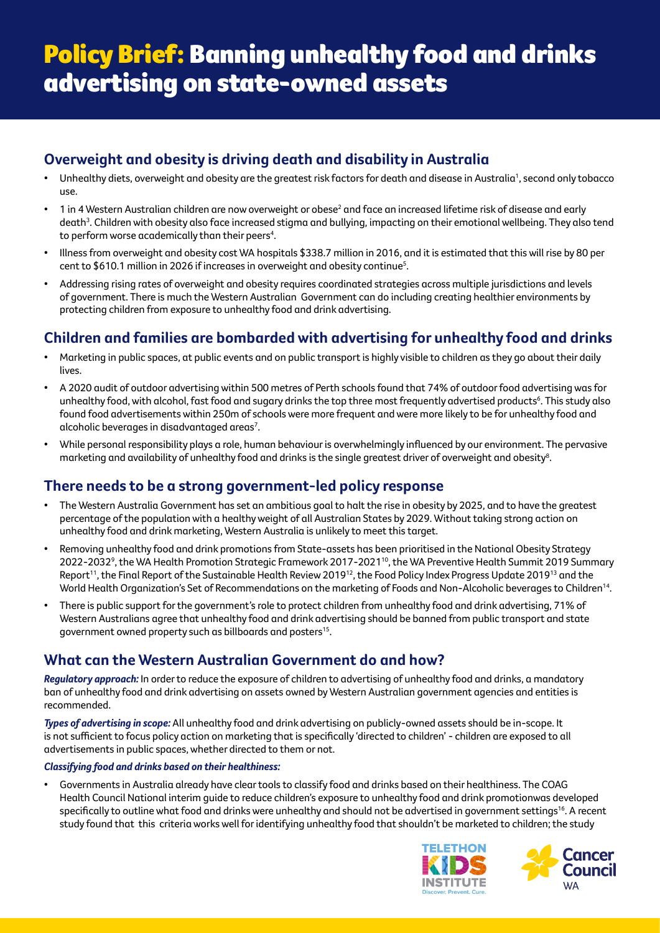### **Overweight and obesity is driving death and disability in Australia**

- $\bullet$  Unhealthy diets, overweight and obesity are the greatest risk factors for death and disease in Australia1, second only tobacco use.
- $\bullet$   $\,$  1 in 4 Western Australian children are now overweight or obese $^2$  and face an increased lifetime risk of disease and early death<sup>3</sup>. Children with obesity also face increased stigma and bullying, impacting on their emotional wellbeing. They also tend to perform worse academically than their peers<sup>4</sup>.
- Illness from overweight and obesity cost WA hospitals \$338.7 million in 2016, and it is estimated that this will rise by 80 per cent to \$610.1 million in 2026 if increases in overweight and obesity continue5 .
- Addressing rising rates of overweight and obesity requires coordinated strategies across multiple jurisdictions and levels of government. There is much the Western Australian Government can do including creating healthier environments by protecting children from exposure to unhealthy food and drink advertising.

## **Children and families are bombarded with advertising for unhealthy food and drinks**

- Marketing in public spaces, at public events and on public transport is highly visible to children as they go about their daily lives.
- A 2020 audit of outdoor advertising within 500 metres of Perth schools found that 74% of outdoor food advertising was for unhealthy food, with alcohol, fast food and sugary drinks the top three most frequently advertised products<sup>6</sup>. This study also found food advertisements within 250m of schools were more frequent and were more likely to be for unhealthy food and alcoholic beverages in disadvantaged areas<sup>7</sup>.
- While personal responsibility plays a role, human behaviour is overwhelmingly influenced by our environment. The pervasive marketing and availability of unhealthy food and drinks is the single greatest driver of overweight and obesity $^{\rm 8}$ .

### **There needs to be a strong government-led policy response**

- The Western Australia Government has set an ambitious goal to halt the rise in obesity by 2025, and to have the greatest percentage of the population with a healthy weight of all Australian States by 2029. Without taking strong action on unhealthy food and drink marketing, Western Australia is unlikely to meet this target.
- Removing unhealthy food and drink promotions from State-assets has been prioritised in the National Obesity Strategy 2022-2032<sup>9</sup>, the WA Health Promotion Strategic Framework 2017-2021<sup>10</sup>, the WA Preventive Health Summit 2019 Summary Report<sup>11</sup>, the Final Report of the Sustainable Health Review 2019<sup>12</sup>, the Food Policy Index Progress Update 2019<sup>13</sup> and the World Health Organization's Set of Recommendations on the marketing of Foods and Non-Alcoholic beverages to Children<sup>14</sup>.
- There is public support for the government's role to protect children from unhealthy food and drink advertising, 71% of Western Australians agree that unhealthy food and drink advertising should be banned from public transport and state government owned property such as billboards and posters15.

## **What can the Western Australian Government do and how?**

*Regulatory approach:* In order to reduce the exposure of children to advertising of unhealthy food and drinks, a mandatory ban of unhealthy food and drink advertising on assets owned by Western Australian government agencies and entities is recommended.

*Types of advertising in scope:* All unhealthy food and drink advertising on publicly-owned assets should be in-scope. It is not sufficient to focus policy action on marketing that is specifically 'directed to children' - children are exposed to all advertisements in public spaces, whether directed to them or not.

#### *Classifying food and drinks based on their healthiness:*

• Governments in Australia already have clear tools to classify food and drinks based on their healthiness. The COAG Health Council National interim guide to reduce children's exposure to unhealthy food and drink promotionwas developed specifically to outline what food and drinks were unhealthy and should not be advertised in government settings<sup>16</sup>. A recent study found that this criteria works well for identifying unhealthy food that shouldn't be marketed to children; the study



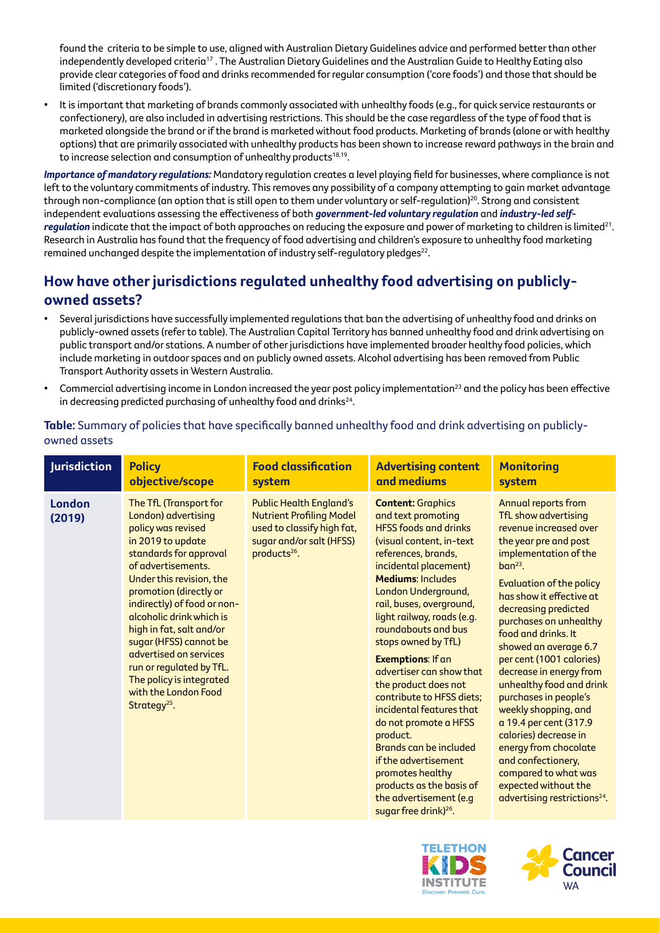found the criteria to be simple to use, aligned with Australian Dietary Guidelines advice and performed better than other independently developed criteria<sup>17</sup>. The Australian Dietary Guidelines and the Australian Guide to Healthy Eating also provide clear categories of food and drinks recommended for regular consumption ('core foods') and those that should be limited ('discretionary foods').

• It is important that marketing of brands commonly associated with unhealthy foods (e.g., for quick service restaurants or confectionery), are also included in advertising restrictions. This should be the case regardless of the type of food that is marketed alongside the brand or if the brand is marketed without food products. Marketing of brands (alone or with healthy options) that are primarily associated with unhealthy products has been shown to increase reward pathways in the brain and to increase selection and consumption of unhealthy products<sup>18,19</sup>.

*Importance of mandatory regulations:* Mandatory regulation creates a level playing field for businesses, where compliance is not left to the voluntary commitments of industry. This removes any possibility of a company attempting to gain market advantage through non-compliance (an option that is still open to them under voluntary or self-regulation)<sup>20</sup>. Strong and consistent independent evaluations assessing the effectiveness of both *government-led voluntary regulation* and *industry-led selfregulation* indicate that the impact of both approaches on reducing the exposure and power of marketing to children is limited<sup>21</sup>. Research in Australia has found that the frequency of food advertising and children's exposure to unhealthy food marketing remained unchanged despite the implementation of industry self-regulatory pledges<sup>22</sup>.

### **How have other jurisdictions regulated unhealthy food advertising on publiclyowned assets?**

- Several jurisdictions have successfully implemented regulations that ban the advertising of unhealthy food and drinks on publicly-owned assets (refer to table). The Australian Capital Territory has banned unhealthy food and drink advertising on public transport and/or stations. A number of other jurisdictions have implemented broader healthy food policies, which include marketing in outdoor spaces and on publicly owned assets. Alcohol advertising has been removed from Public Transport Authority assets in Western Australia.
- Commercial advertising income in London increased the year post policy implementation<sup>23</sup> and the policy has been effective in decreasing predicted purchasing of unhealthy food and drinks $^{24}$ .

| <b>Jurisdiction</b> | <b>Policy</b>                                                                                                                                                                                                                                                                                                                                                                                                                                         | <b>Food classification</b>                                                                                                                              | <b>Advertising content</b>                                                                                                                                                                                                                                                                                                                                                                                                                                                                                                                                                                                                                                           | <b>Monitoring</b>                                                                                                                                                                                                                                                                                                                                                                                                                                                                                                                                                                                                                |
|---------------------|-------------------------------------------------------------------------------------------------------------------------------------------------------------------------------------------------------------------------------------------------------------------------------------------------------------------------------------------------------------------------------------------------------------------------------------------------------|---------------------------------------------------------------------------------------------------------------------------------------------------------|----------------------------------------------------------------------------------------------------------------------------------------------------------------------------------------------------------------------------------------------------------------------------------------------------------------------------------------------------------------------------------------------------------------------------------------------------------------------------------------------------------------------------------------------------------------------------------------------------------------------------------------------------------------------|----------------------------------------------------------------------------------------------------------------------------------------------------------------------------------------------------------------------------------------------------------------------------------------------------------------------------------------------------------------------------------------------------------------------------------------------------------------------------------------------------------------------------------------------------------------------------------------------------------------------------------|
|                     | objective/scope                                                                                                                                                                                                                                                                                                                                                                                                                                       | system                                                                                                                                                  | and mediums                                                                                                                                                                                                                                                                                                                                                                                                                                                                                                                                                                                                                                                          | system                                                                                                                                                                                                                                                                                                                                                                                                                                                                                                                                                                                                                           |
| London<br>(2019)    | The TfL (Transport for<br>London) advertising<br>policy was revised<br>in 2019 to update<br>standards for approval<br>of advertisements.<br>Under this revision, the<br>promotion (directly or<br>indirectly) of food or non-<br>glcoholic drink which is<br>high in fat, salt and/or<br>sugar (HFSS) cannot be<br>advertised on services<br>run or regulated by TfL.<br>The policy is integrated<br>with the London Food<br>Strategy <sup>25</sup> . | <b>Public Health England's</b><br><b>Nutrient Profiling Model</b><br>used to classify high fat,<br>sugar and/or salt (HFSS)<br>products <sup>26</sup> . | <b>Content: Graphics</b><br>and text promoting<br><b>HFSS foods and drinks</b><br>(visual content, in-text<br>references, brands,<br>incidental placement)<br><b>Mediums: Includes</b><br>London Underground,<br>rail, buses, overground,<br>light railway, roads (e.g.<br>roundabouts and bus<br>stops owned by TfL)<br><b>Exemptions: If an</b><br>advertiser can show that<br>the product does not<br>contribute to HFSS diets;<br>incidental features that<br>do not promote a HFSS<br>product.<br>Brands can be included<br>if the advertisement<br>promotes healthy<br>products as the basis of<br>the advertisement (e.g<br>sugar free drink) <sup>26</sup> . | Annual reports from<br>TfL show advertising<br>revenue increased over<br>the year pre and post<br>implementation of the<br>$ban23$ .<br>Evaluation of the policy<br>has show it effective at<br>decreasing predicted<br>purchases on unhealthy<br>food and drinks. It<br>showed an average 6.7<br>per cent (1001 calories)<br>decrease in energy from<br>unhealthy food and drink<br>purchases in people's<br>weekly shopping, and<br>a 19.4 per cent (317.9<br>calories) decrease in<br>energy from chocolate<br>and confectionery,<br>compared to what was<br>expected without the<br>advertising restrictions <sup>24</sup> . |

### **Table:** Summary of policies that have specifically banned unhealthy food and drink advertising on publiclyowned assets



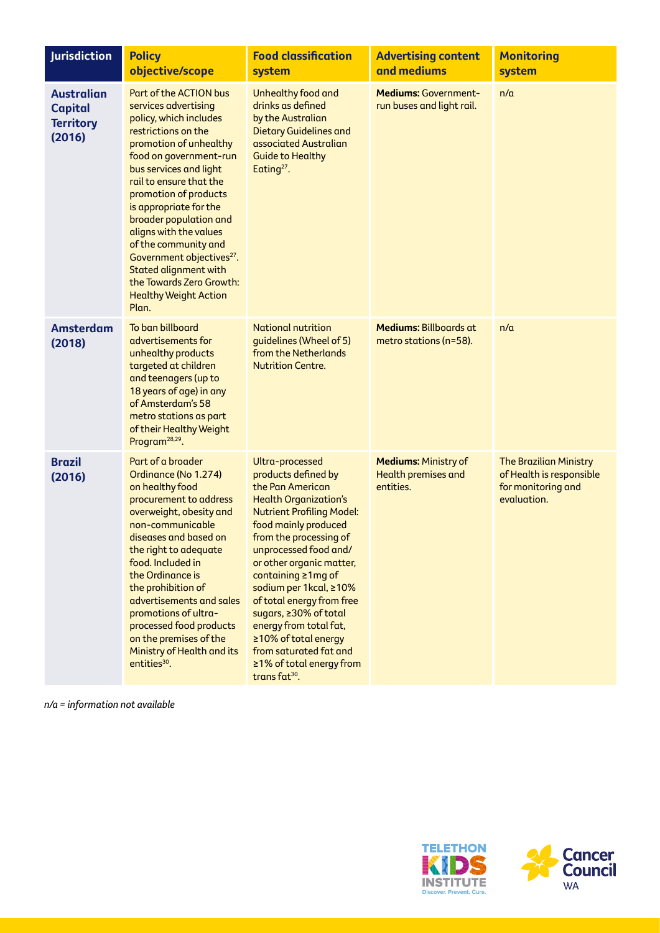| <b>Jurisdiction</b>                                               | <b>Policy</b><br>objective/scope                                                                                                                                                                                                                                                                                                                                                                                                                                                      | <b>Food classification</b><br>system                                                                                                                                                                                                                                                                                                                                                                                                                                             | <b>Advertising content</b><br>and mediums                              | <b>Monitoring</b><br>system                                                                    |
|-------------------------------------------------------------------|---------------------------------------------------------------------------------------------------------------------------------------------------------------------------------------------------------------------------------------------------------------------------------------------------------------------------------------------------------------------------------------------------------------------------------------------------------------------------------------|----------------------------------------------------------------------------------------------------------------------------------------------------------------------------------------------------------------------------------------------------------------------------------------------------------------------------------------------------------------------------------------------------------------------------------------------------------------------------------|------------------------------------------------------------------------|------------------------------------------------------------------------------------------------|
| <b>Australian</b><br><b>Capital</b><br><b>Territory</b><br>(2016) | Part of the ACTION bus<br>services advertising<br>policy, which includes<br>restrictions on the<br>promotion of unhealthy<br>food on government-run<br>bus services and light<br>rail to ensure that the<br>promotion of products<br>is appropriate for the<br>broader population and<br>aligns with the values<br>of the community and<br>Government objectives <sup>27</sup> .<br><b>Stated alignment with</b><br>the Towards Zero Growth:<br><b>Healthy Weight Action</b><br>Plan. | Unhealthy food and<br>drinks as defined<br>by the Australian<br><b>Dietary Guidelines and</b><br>associated Australian<br><b>Guide to Healthy</b><br>Eating <sup>27</sup> .                                                                                                                                                                                                                                                                                                      | <b>Mediums: Government-</b><br>run buses and light rail.               | n/a                                                                                            |
| <b>Amsterdam</b><br>(2018)                                        | To ban billboard<br>advertisements for<br>unhealthy products<br>targeted at children<br>and teenagers (up to<br>18 years of age) in any<br>of Amsterdam's 58<br>metro stations as part<br>of their Healthy Weight<br>Program <sup>28,29</sup> .                                                                                                                                                                                                                                       | <b>National nutrition</b><br>guidelines (Wheel of 5)<br>from the Netherlands<br><b>Nutrition Centre.</b>                                                                                                                                                                                                                                                                                                                                                                         | Mediums: Billboards at<br>metro stations (n=58).                       | n/a                                                                                            |
| <b>Brazil</b><br>(2016)                                           | Part of a broader<br>Ordinance (No 1.274)<br>on healthy food<br>procurement to address<br>overweight, obesity and<br>non-communicable<br>diseases and based on<br>the right to adequate<br>food. Included in<br>the Ordinance is<br>the prohibition of<br>advertisements and sales<br>promotions of ultra-<br>processed food products<br>on the premises of the<br>Ministry of Health and its<br>entities <sup>30</sup> .                                                             | Ultra-processed<br>products defined by<br>the Pan American<br><b>Health Organization's</b><br><b>Nutrient Profiling Model:</b><br>food mainly produced<br>from the processing of<br>unprocessed food and/<br>or other organic matter,<br>containing ≥1mg of<br>sodium per 1kcal, ≥10%<br>of total energy from free<br>sugars, ≥30% of total<br>energy from total fat,<br>≥10% of total energy<br>from saturated fat and<br>≥1% of total energy from<br>trans fat <sup>30</sup> . | <b>Mediums: Ministry of</b><br><b>Health premises and</b><br>entities. | <b>The Brazilian Ministry</b><br>of Health is responsible<br>for monitoring and<br>evaluation. |

*n/a = information not available* 



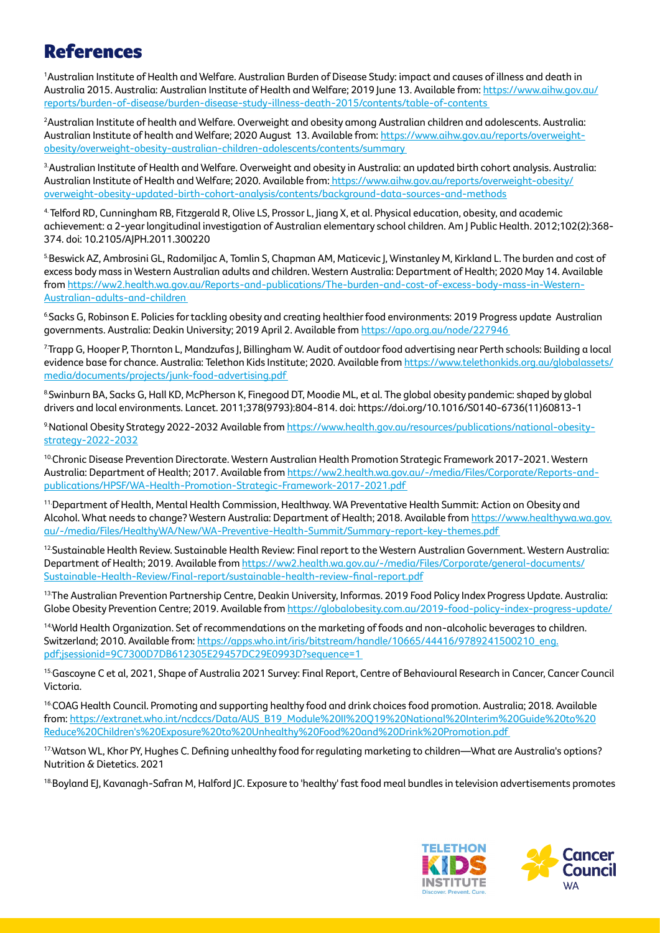# References

1 Australian Institute of Health and Welfare. Australian Burden of Disease Study: impact and causes of illness and death in Australia 2015. Australia: Australian Institute of Health and Welfare; 2019 June 13. Available from: [https://www.aihw.gov.au/](https://www.aihw.gov.au/reports/burden-of-disease/burden-disease-study-illness-death-2015/contents/table-of-contents) [reports/burden-of-disease/burden-disease-study-illness-death-2015/contents/table-of-contents](https://www.aihw.gov.au/reports/burden-of-disease/burden-disease-study-illness-death-2015/contents/table-of-contents) 

2 Australian Institute of health and Welfare. Overweight and obesity among Australian children and adolescents. Australia: Australian Institute of health and Welfare; 2020 August 13. Available from: [https://www.aihw.gov.au/reports/overweight](https://www.aihw.gov.au/reports/overweight-obesity/overweight-obesity-australian-children-adolescents/contents/summary)[obesity/overweight-obesity-australian-children-adolescents/contents/summary](https://www.aihw.gov.au/reports/overweight-obesity/overweight-obesity-australian-children-adolescents/contents/summary) 

3.Australian Institute of Health and Welfare. Overweight and obesity in Australia: an updated birth cohort analysis. Australia: Australian Institute of Health and Welfare; 2020. Available from[: https://www.aihw.gov.au/reports/overweight-obesity/](https://www.aihw.gov.au/reports/overweight-obesity/overweight-obesity-updated-birth-cohort-analysis/contents/background-data-sources-and-methods) [overweight-obesity-updated-birth-cohort-analysis/contents/background-data-sources-and-methods](https://www.aihw.gov.au/reports/overweight-obesity/overweight-obesity-updated-birth-cohort-analysis/contents/background-data-sources-and-methods)

4. Telford RD, Cunningham RB, Fitzgerald R, Olive LS, Prossor L, Jiang X, et al. Physical education, obesity, and academic achievement: a 2-year longitudinal investigation of Australian elementary school children. Am J Public Health. 2012;102(2):368- 374. doi: 10.2105/AJPH.2011.300220

5 Beswick AZ, Ambrosini GL, Radomiljac A, Tomlin S, Chapman AM, Maticevic J, Winstanley M, Kirkland L. The burden and cost of excess body mass in Western Australian adults and children. Western Australia: Department of Health; 2020 May 14. Available from [https://ww2.health.wa.gov.au/Reports-and-publications/The-burden-and-cost-of-excess-body-mass-in-Western-](https://ww2.health.wa.gov.au/Reports-and-publications/The-burden-and-cost-of-excess-body-mass-in-Wes)[Australian-adults-and-children](https://ww2.health.wa.gov.au/Reports-and-publications/The-burden-and-cost-of-excess-body-mass-in-Wes) 

6.Sacks G, Robinson E. Policies for tackling obesity and creating healthier food environments: 2019 Progress update Australian governments. Australia: Deakin University; 2019 April 2. Available from [https://apo.org.au/node/227946](https://apo.org.au/node/227946 ) 

7.Trapp G, Hooper P, Thornton L, Mandzufas J, Billingham W. Audit of outdoor food advertising near Perth schools: Building a local evidence base for chance. Australia: Telethon Kids Institute; 2020. Available from [https://www.telethonkids.org.au/globalassets/](https://www.telethonkids.org.au/globalassets/media/documents/projects/junk-food-advertising.pdf  ) [media/documents/projects/junk-food-advertising.pdf](https://www.telethonkids.org.au/globalassets/media/documents/projects/junk-food-advertising.pdf  ) 

8.Swinburn BA, Sacks G, Hall KD, McPherson K, Finegood DT, Moodie ML, et al. The global obesity pandemic: shaped by global drivers and local environments. Lancet. 2011;378(9793):804-814. doi: https://doi.org/10.1016/S0140-6736(11)60813-1

9.National Obesity Strategy 2022-2032 Available from [https://www.health.gov.au/resources/publications/national-obesity](https://www.health.gov.au/resources/publications/national-obesity-strategy-2022-2032 )[strategy-2022-2032](https://www.health.gov.au/resources/publications/national-obesity-strategy-2022-2032 )

<sup>10</sup>Chronic Disease Prevention Directorate. Western Australian Health Promotion Strategic Framework 2017-2021. Western Australia: Department of Health; 2017. Available from [https://ww2.health.wa.gov.au/-/media/Files/Corporate/Reports-and](https://ww2.health.wa.gov.au/-/media/Files/Corporate/Reports-and-publications/HPSF/WA-Health-Promoti)[publications/HPSF/WA-Health-Promotion-Strategic-Framework-2017-2021.pdf](https://ww2.health.wa.gov.au/-/media/Files/Corporate/Reports-and-publications/HPSF/WA-Health-Promoti) 

<sup>11.</sup>Department of Health, Mental Health Commission, Healthway. WA Preventative Health Summit: Action on Obesity and Alcohol. What needs to change? Western Australia: Department of Health; 2018. Available from [https://www.healthywa.wa.gov.](https://www.healthywa.wa.gov.au/-/media/Files/HealthyWA/New/WA-Preventive-Health-Summit/Summary-repo) [au/-/media/Files/HealthyWA/New/WA-Preventive-Health-Summit/Summary-report-key-themes.pdf](https://www.healthywa.wa.gov.au/-/media/Files/HealthyWA/New/WA-Preventive-Health-Summit/Summary-repo) 

<sup>12</sup>Sustainable Health Review. Sustainable Health Review: Final report to the Western Australian Government. Western Australia: Department of Health; 2019. Available from [https://ww2.health.wa.gov.au/-/media/Files/Corporate/general-documents/](https://ww2.health.wa.gov.au/-/media/Files/Corporate/general-documents/Sustainable-Health-Review/Fin) [Sustainable-Health-Review/Final-report/sustainable-health-review-final-report.pdf](https://ww2.health.wa.gov.au/-/media/Files/Corporate/general-documents/Sustainable-Health-Review/Fin)

13.The Australian Prevention Partnership Centre, Deakin University, Informas. 2019 Food Policy Index Progress Update. Australia: Globe Obesity Prevention Centre; 2019. Available from<https://globalobesity.com.au/2019-food-policy-index-progress-update/>

14.World Health Organization. Set of recommendations on the marketing of foods and non-alcoholic beverages to children. Switzerland; 2010. Available from: [https://apps.who.int/iris/bitstream/handle/10665/44416/9789241500210\\_eng.](https://apps.who.int/iris/bitstream/handle/10665/44416/9789241500210_eng.pdf;jsessionid=9C7300D7DB61) [pdf;jsessionid=9C7300D7DB612305E29457DC29E0993D?sequence=1](https://apps.who.int/iris/bitstream/handle/10665/44416/9789241500210_eng.pdf;jsessionid=9C7300D7DB61) 

15.Gascoyne C et al, 2021, Shape of Australia 2021 Survey: Final Report, Centre of Behavioural Research in Cancer, Cancer Council Victoria.

<sup>16</sup> COAG Health Council. Promoting and supporting healthy food and drink choices food promotion. Australia; 2018. Available from: [https://extranet.who.int/ncdccs/Data/AUS\\_B19\\_Module%20II%20Q19%20National%20Interim%20Guide%20to%20](https://extranet.who.int/ncdccs/Data/AUS_B19_Module%20II%20Q19%20National%20Interim%20Guide%20to%20Reduce%20Children) [Reduce%20Children's%20Exposure%20to%20Unhealthy%20Food%20and%20Drink%20Promotion.pdf](https://extranet.who.int/ncdccs/Data/AUS_B19_Module%20II%20Q19%20National%20Interim%20Guide%20to%20Reduce%20Children) 

17.Watson WL, Khor PY, Hughes C. Defining unhealthy food for regulating marketing to children—What are Australia's options? Nutrition & Dietetics. 2021

<sup>18</sup> Boyland EJ, Kavanagh-Safran M, Halford JC. Exposure to 'healthy' fast food meal bundles in television advertisements promotes